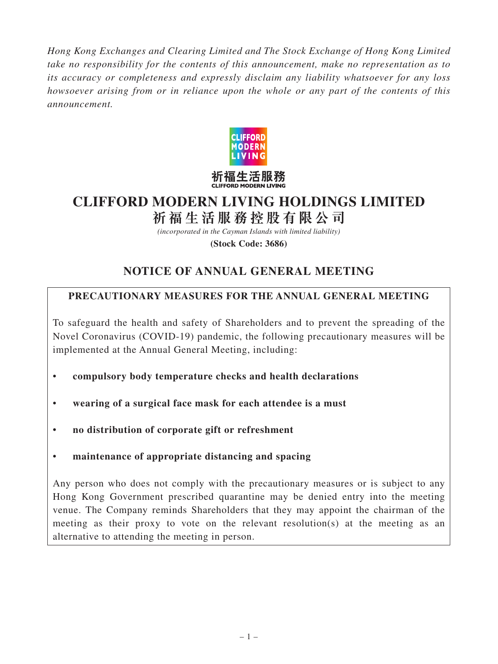*Hong Kong Exchanges and Clearing Limited and The Stock Exchange of Hong Kong Limited take no responsibility for the contents of this announcement, make no representation as to its accuracy or completeness and expressly disclaim any liability whatsoever for any loss howsoever arising from or in reliance upon the whole or any part of the contents of this announcement.*



# **CLIFFORD MODERN LIVING HOLDINGS LIMITED 祈福生活服務控股有限公司**

*(incorporated in the Cayman Islands with limited liability)*

**(Stock Code: 3686)**

# **NOTICE OF ANNUAL GENERAL MEETING**

# **PRECAUTIONARY MEASURES FOR THE ANNUAL GENERAL MEETING**

To safeguard the health and safety of Shareholders and to prevent the spreading of the Novel Coronavirus (COVID-19) pandemic, the following precautionary measures will be implemented at the Annual General Meeting, including:

- **compulsory body temperature checks and health declarations**
- **wearing of a surgical face mask for each attendee is a must**
- **no distribution of corporate gift or refreshment**
- **maintenance of appropriate distancing and spacing**

Any person who does not comply with the precautionary measures or is subject to any Hong Kong Government prescribed quarantine may be denied entry into the meeting venue. The Company reminds Shareholders that they may appoint the chairman of the meeting as their proxy to vote on the relevant resolution(s) at the meeting as an alternative to attending the meeting in person.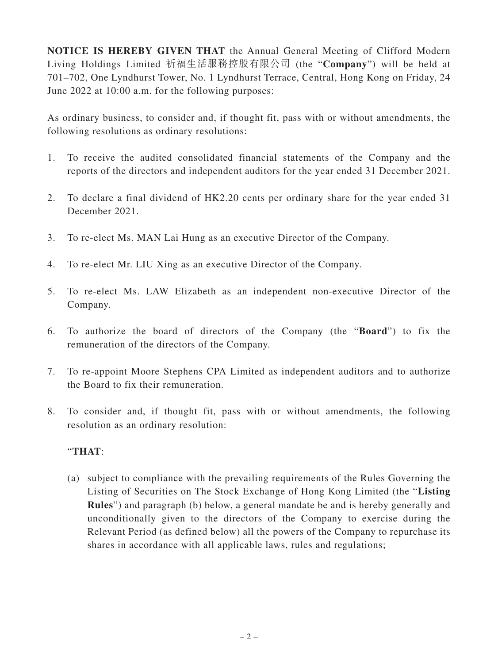**NOTICE IS HEREBY GIVEN THAT** the Annual General Meeting of Clifford Modern Living Holdings Limited 祈福生活服務控股有限公司 (the "**Company**") will be held at 701–702, One Lyndhurst Tower, No. 1 Lyndhurst Terrace, Central, Hong Kong on Friday, 24 June 2022 at 10:00 a.m. for the following purposes:

As ordinary business, to consider and, if thought fit, pass with or without amendments, the following resolutions as ordinary resolutions:

- 1. To receive the audited consolidated financial statements of the Company and the reports of the directors and independent auditors for the year ended 31 December 2021.
- 2. To declare a final dividend of HK2.20 cents per ordinary share for the year ended 31 December 2021.
- 3. To re-elect Ms. MAN Lai Hung as an executive Director of the Company.
- 4. To re-elect Mr. LIU Xing as an executive Director of the Company.
- 5. To re-elect Ms. LAW Elizabeth as an independent non-executive Director of the Company.
- 6. To authorize the board of directors of the Company (the "**Board**") to fix the remuneration of the directors of the Company.
- 7. To re-appoint Moore Stephens CPA Limited as independent auditors and to authorize the Board to fix their remuneration.
- 8. To consider and, if thought fit, pass with or without amendments, the following resolution as an ordinary resolution:

# "**THAT**:

(a) subject to compliance with the prevailing requirements of the Rules Governing the Listing of Securities on The Stock Exchange of Hong Kong Limited (the "**Listing Rules**") and paragraph (b) below, a general mandate be and is hereby generally and unconditionally given to the directors of the Company to exercise during the Relevant Period (as defined below) all the powers of the Company to repurchase its shares in accordance with all applicable laws, rules and regulations;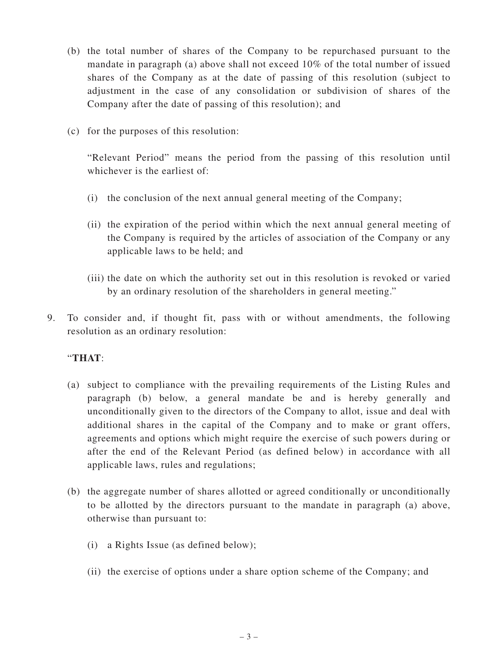- (b) the total number of shares of the Company to be repurchased pursuant to the mandate in paragraph (a) above shall not exceed 10% of the total number of issued shares of the Company as at the date of passing of this resolution (subject to adjustment in the case of any consolidation or subdivision of shares of the Company after the date of passing of this resolution); and
- (c) for the purposes of this resolution:

"Relevant Period" means the period from the passing of this resolution until whichever is the earliest of:

- (i) the conclusion of the next annual general meeting of the Company;
- (ii) the expiration of the period within which the next annual general meeting of the Company is required by the articles of association of the Company or any applicable laws to be held; and
- (iii) the date on which the authority set out in this resolution is revoked or varied by an ordinary resolution of the shareholders in general meeting."
- 9. To consider and, if thought fit, pass with or without amendments, the following resolution as an ordinary resolution:

# "**THAT**:

- (a) subject to compliance with the prevailing requirements of the Listing Rules and paragraph (b) below, a general mandate be and is hereby generally and unconditionally given to the directors of the Company to allot, issue and deal with additional shares in the capital of the Company and to make or grant offers, agreements and options which might require the exercise of such powers during or after the end of the Relevant Period (as defined below) in accordance with all applicable laws, rules and regulations;
- (b) the aggregate number of shares allotted or agreed conditionally or unconditionally to be allotted by the directors pursuant to the mandate in paragraph (a) above, otherwise than pursuant to:
	- (i) a Rights Issue (as defined below);
	- (ii) the exercise of options under a share option scheme of the Company; and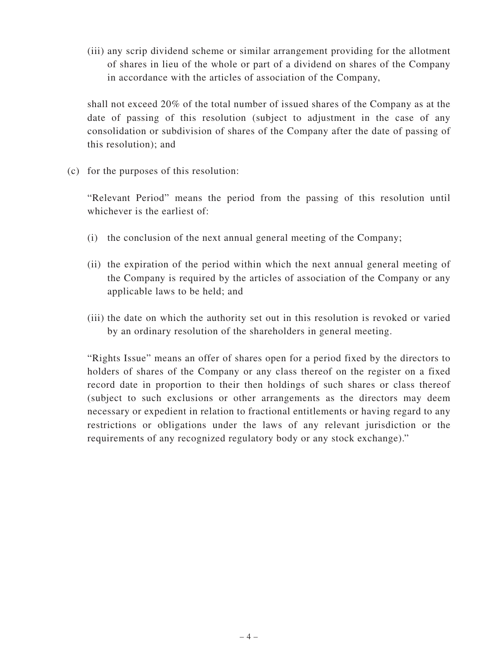(iii) any scrip dividend scheme or similar arrangement providing for the allotment of shares in lieu of the whole or part of a dividend on shares of the Company in accordance with the articles of association of the Company,

shall not exceed 20% of the total number of issued shares of the Company as at the date of passing of this resolution (subject to adjustment in the case of any consolidation or subdivision of shares of the Company after the date of passing of this resolution); and

(c) for the purposes of this resolution:

"Relevant Period" means the period from the passing of this resolution until whichever is the earliest of:

- (i) the conclusion of the next annual general meeting of the Company;
- (ii) the expiration of the period within which the next annual general meeting of the Company is required by the articles of association of the Company or any applicable laws to be held; and
- (iii) the date on which the authority set out in this resolution is revoked or varied by an ordinary resolution of the shareholders in general meeting.

"Rights Issue" means an offer of shares open for a period fixed by the directors to holders of shares of the Company or any class thereof on the register on a fixed record date in proportion to their then holdings of such shares or class thereof (subject to such exclusions or other arrangements as the directors may deem necessary or expedient in relation to fractional entitlements or having regard to any restrictions or obligations under the laws of any relevant jurisdiction or the requirements of any recognized regulatory body or any stock exchange)."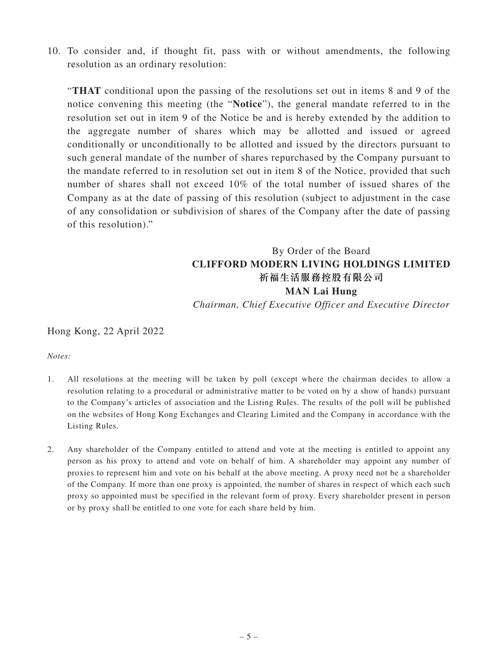10. To consider and, if thought fit, pass with or without amendments, the following resolution as an ordinary resolution:

"**THAT** conditional upon the passing of the resolutions set out in items 8 and 9 of the notice convening this meeting (the "**Notice**"), the general mandate referred to in the resolution set out in item 9 of the Notice be and is hereby extended by the addition to the aggregate number of shares which may be allotted and issued or agreed conditionally or unconditionally to be allotted and issued by the directors pursuant to such general mandate of the number of shares repurchased by the Company pursuant to the mandate referred to in resolution set out in item 8 of the Notice, provided that such number of shares shall not exceed 10% of the total number of issued shares of the Company as at the date of passing of this resolution (subject to adjustment in the case of any consolidation or subdivision of shares of the Company after the date of passing of this resolution)."

# By Order of the Board **CLIFFORD MODERN LIVING HOLDINGS LIMITED 祈福生活服務控股有限公司 MAN Lai Hung** *Chairman, Chief Executive Officer and Executive Director*

## Hong Kong, 22 April 2022

## *Notes:*

- 1. All resolutions at the meeting will be taken by poll (except where the chairman decides to allow a resolution relating to a procedural or administrative matter to be voted on by a show of hands) pursuant to the Company's articles of association and the Listing Rules. The results of the poll will be published on the websites of Hong Kong Exchanges and Clearing Limited and the Company in accordance with the Listing Rules.
- 2. Any shareholder of the Company entitled to attend and vote at the meeting is entitled to appoint any person as his proxy to attend and vote on behalf of him. A shareholder may appoint any number of proxies to represent him and vote on his behalf at the above meeting. A proxy need not be a shareholder of the Company. If more than one proxy is appointed, the number of shares in respect of which each such proxy so appointed must be specified in the relevant form of proxy. Every shareholder present in person or by proxy shall be entitled to one vote for each share held by him.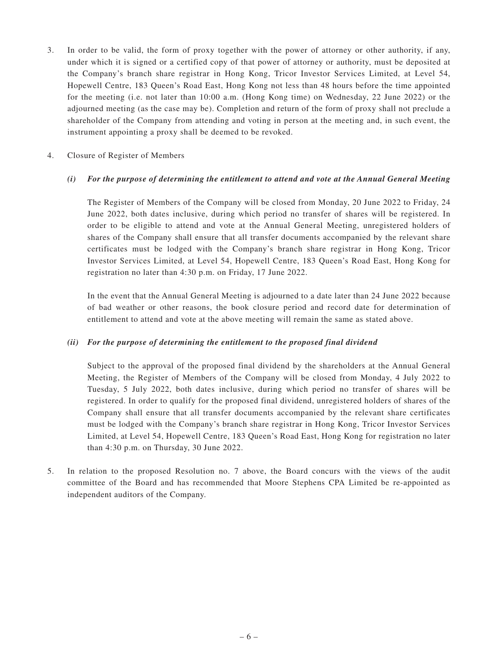3. In order to be valid, the form of proxy together with the power of attorney or other authority, if any, under which it is signed or a certified copy of that power of attorney or authority, must be deposited at the Company's branch share registrar in Hong Kong, Tricor Investor Services Limited, at Level 54, Hopewell Centre, 183 Queen's Road East, Hong Kong not less than 48 hours before the time appointed for the meeting (i.e. not later than 10:00 a.m. (Hong Kong time) on Wednesday, 22 June 2022) or the adjourned meeting (as the case may be). Completion and return of the form of proxy shall not preclude a shareholder of the Company from attending and voting in person at the meeting and, in such event, the instrument appointing a proxy shall be deemed to be revoked.

## 4. Closure of Register of Members

## *(i) For the purpose of determining the entitlement to attend and vote at the Annual General Meeting*

The Register of Members of the Company will be closed from Monday, 20 June 2022 to Friday, 24 June 2022, both dates inclusive, during which period no transfer of shares will be registered. In order to be eligible to attend and vote at the Annual General Meeting, unregistered holders of shares of the Company shall ensure that all transfer documents accompanied by the relevant share certificates must be lodged with the Company's branch share registrar in Hong Kong, Tricor Investor Services Limited, at Level 54, Hopewell Centre, 183 Queen's Road East, Hong Kong for registration no later than 4:30 p.m. on Friday, 17 June 2022.

In the event that the Annual General Meeting is adjourned to a date later than 24 June 2022 because of bad weather or other reasons, the book closure period and record date for determination of entitlement to attend and vote at the above meeting will remain the same as stated above.

#### *(ii) For the purpose of determining the entitlement to the proposed final dividend*

Subject to the approval of the proposed final dividend by the shareholders at the Annual General Meeting, the Register of Members of the Company will be closed from Monday, 4 July 2022 to Tuesday, 5 July 2022, both dates inclusive, during which period no transfer of shares will be registered. In order to qualify for the proposed final dividend, unregistered holders of shares of the Company shall ensure that all transfer documents accompanied by the relevant share certificates must be lodged with the Company's branch share registrar in Hong Kong, Tricor Investor Services Limited, at Level 54, Hopewell Centre, 183 Queen's Road East, Hong Kong for registration no later than 4:30 p.m. on Thursday, 30 June 2022.

5. In relation to the proposed Resolution no. 7 above, the Board concurs with the views of the audit committee of the Board and has recommended that Moore Stephens CPA Limited be re-appointed as independent auditors of the Company.